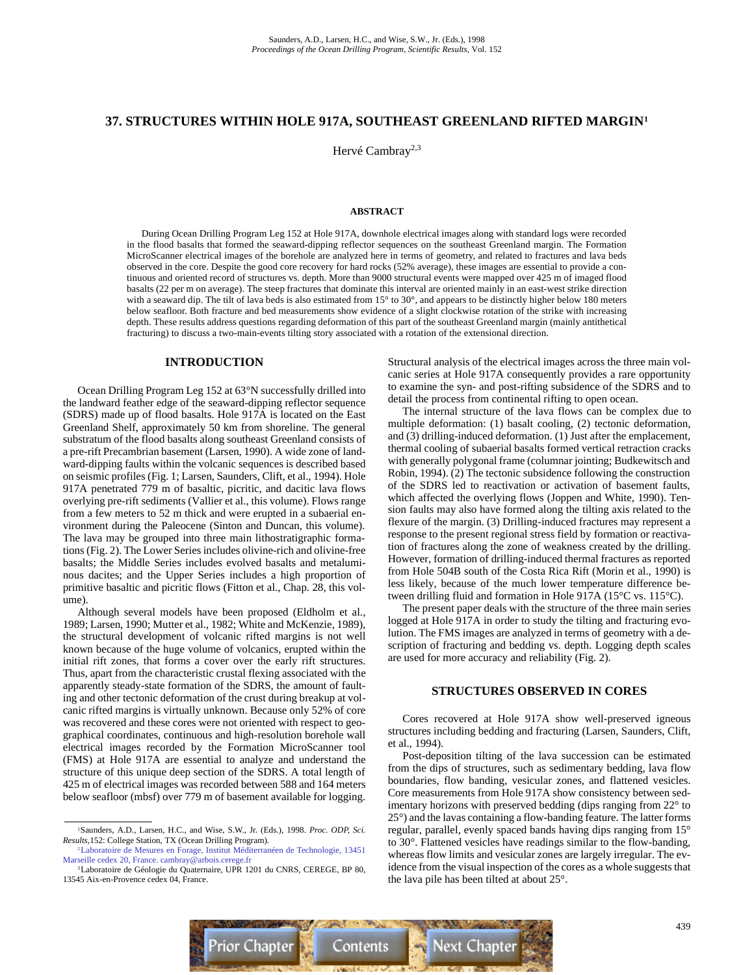## **37. STRUCTURES WITHIN HOLE 917A, SOUTHEAST GREENLAND RIFTED MARGIN1**

Hervé Cambray<sup>2,3</sup>

#### **ABSTRACT**

During Ocean Drilling Program Leg 152 at Hole 917A, downhole electrical images along with standard logs were recorded in the flood basalts that formed the seaward-dipping reflector sequences on the southeast Greenland margin. The Formation MicroScanner electrical images of the borehole are analyzed here in terms of geometry, and related to fractures and lava beds observed in the core. Despite the good core recovery for hard rocks (52% average), these images are essential to provide a continuous and oriented record of structures vs. depth. More than 9000 structural events were mapped over 425 m of imaged flood basalts (22 per m on average). The steep fractures that dominate this interval are oriented mainly in an east-west strike direction with a seaward dip. The tilt of lava beds is also estimated from 15° to 30°, and appears to be distinctly higher below 180 meters below seafloor. Both fracture and bed measurements show evidence of a slight clockwise rotation of the strike with increasing depth. These results address questions regarding deformation of this part of the southeast Greenland margin (mainly antithetical fracturing) to discuss a two-main-events tilting story associated with a rotation of the extensional direction.

#### **INTRODUCTION**

Ocean Drilling Program Leg 152 at 63°N successfully drilled into the landward feather edge of the seaward-dipping reflector sequence (SDRS) made up of flood basalts. Hole 917A is located on the East Greenland Shelf, approximately 50 km from shoreline. The general substratum of the flood basalts along southeast Greenland consists of a pre-rift Precambrian basement (Larsen, 1990). A wide zone of landward-dipping faults within the volcanic sequences is described based on seismic profiles (Fig. 1; Larsen, Saunders, Clift, et al., 1994). Hole 917A penetrated 779 m of basaltic, picritic, and dacitic lava flows overlying pre-rift sediments (Vallier et al., this volume). Flows range from a few meters to 52 m thick and were erupted in a subaerial environment during the Paleocene (Sinton and Duncan, this volume). The lava may be grouped into three main lithostratigraphic formations (Fig. 2). The Lower Series includes olivine-rich and olivine-free basalts; the Middle Series includes evolved basalts and metaluminous dacites; and the Upper Series includes a high proportion of primitive basaltic and picritic flows (Fitton et al., Chap. 28, this volume).

Although several models have been proposed (Eldholm et al., 1989; Larsen, 1990; Mutter et al., 1982; White and McKenzie, 1989), the structural development of volcanic rifted margins is not well known because of the huge volume of volcanics, erupted within the initial rift zones, that forms a cover over the early rift structures. Thus, apart from the characteristic crustal flexing associated with the apparently steady-state formation of the SDRS, the amount of faulting and other tectonic deformation of the crust during breakup at volcanic rifted margins is virtually unknown. Because only 52% of core was recovered and these cores were not oriented with respect to geographical coordinates, continuous and high-resolution borehole wall electrical images recorded by the Formation MicroScanner tool (FMS) at Hole 917A are essential to analyze and understand the structure of this unique deep section of the SDRS. A total length of 425 m of electrical images was recorded between 588 and 164 meters below seafloor (mbsf) over 779 m of basement available for logging.

Structural analysis of the electrical images across the three main volcanic series at Hole 917A consequently provides a rare opportunity to examine the syn- and post-rifting subsidence of the SDRS and to detail the process from continental rifting to open ocean.

The internal structure of the lava flows can be complex due to multiple deformation: (1) basalt cooling, (2) tectonic deformation, and (3) drilling-induced deformation. (1) Just after the emplacement, thermal cooling of subaerial basalts formed vertical retraction cracks with generally polygonal frame (columnar jointing; Budkewitsch and Robin, 1994). (2) The tectonic subsidence following the construction of the SDRS led to reactivation or activation of basement faults, which affected the overlying flows (Joppen and White, 1990). Tension faults may also have formed along the tilting axis related to the flexure of the margin. (3) Drilling-induced fractures may represent a response to the present regional stress field by formation or reactivation of fractures along the zone of weakness created by the drilling. However, formation of drilling-induced thermal fractures as reported from Hole 504B south of the Costa Rica Rift (Morin et al., 1990) is less likely, because of the much lower temperature difference between drilling fluid and formation in Hole 917A (15°C vs. 115°C).

The present paper deals with the structure of the three main series logged at Hole 917A in order to study the tilting and fracturing evolution. The FMS images are analyzed in terms of geometry with a description of fracturing and bedding vs. depth. Logging depth scales are used for more accuracy and reliability (Fig. 2).

#### **STRUCTURES OBSERVED IN CORES**

Cores recovered at Hole 917A show well-preserved igneous structures including bedding and fracturing (Larsen, Saunders, Clift, et al., 1994).

Post-deposition tilting of the lava succession can be estimated from the dips of structures, such as sedimentary bedding, lava flow boundaries, flow banding, vesicular zones, and flattened vesicles. Core measurements from Hole 917A show consistency between sedimentary horizons with preserved bedding (dips ranging from 22° to 25°) and the lavas containing a flow-banding feature. The latter forms regular, parallel, evenly spaced bands having dips ranging from 15° to 30°. Flattened vesicles have readings similar to the flow-banding, whereas flow limits and vesicular zones are largely irregular. The evidence from the visual inspection of the cores as a whole suggests that the lava pile has been tilted at about 25°.



<sup>1</sup>Saunders, A.D., Larsen, H.C., and Wise, S.W., Jr. (Eds.), 1998. *Proc. ODP, Sci. Results,*152: College Station, TX (Ocean Drilling Program).

[<sup>2</sup>Laboratoire de Mesures en Forage, Institut Méditerranéen de Technologie, 13451](mailto:cambray@arbois.cerege.fr) Marseille cedex 20, France. cambray@arbois.cerege.fr

<sup>3</sup>Laboratoire de Géologie du Quaternaire, UPR 1201 du CNRS, CEREGE, BP 80, 13545 Aix-en-Provence cedex 04, France.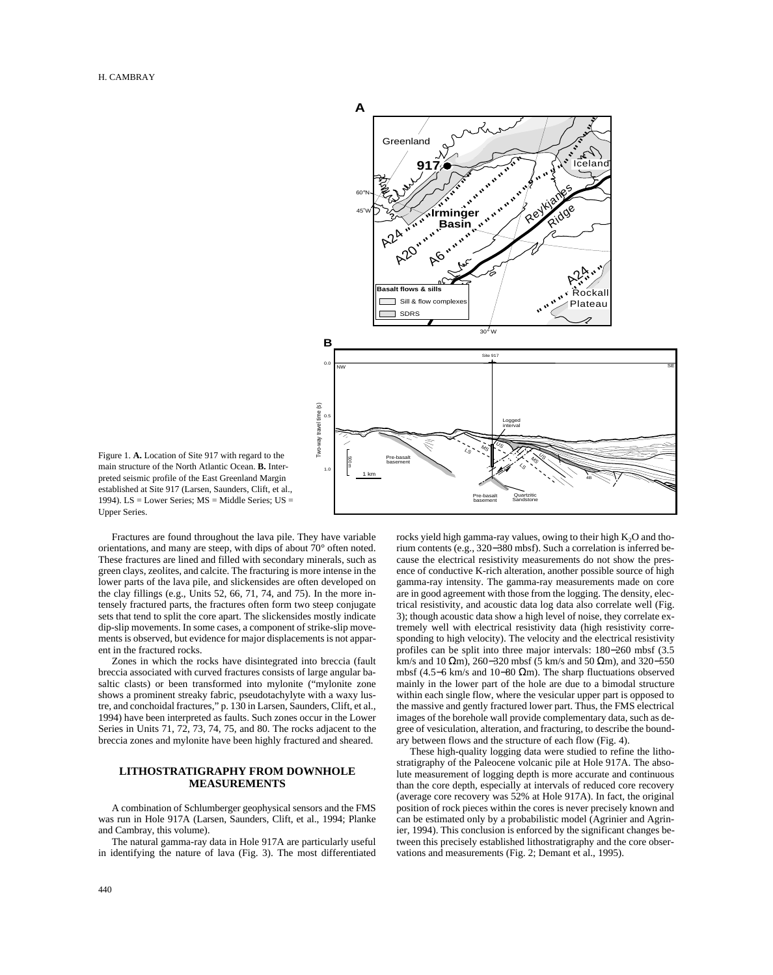

Figure 1. **A.** Location of Site 917 with regard to the main structure of the North Atlantic Ocean. **B.** Interpreted seismic profile of the East Greenland Margin established at Site 917 (Larsen, Saunders, Clift, et al., 1994). LS = Lower Series; MS = Middle Series; US = Upper Series.

Fractures are found throughout the lava pile. They have variable orientations, and many are steep, with dips of about 70° often noted. These fractures are lined and filled with secondary minerals, such as green clays, zeolites, and calcite. The fracturing is more intense in the lower parts of the lava pile, and slickensides are often developed on the clay fillings (e.g., Units 52, 66, 71, 74, and 75). In the more intensely fractured parts, the fractures often form two steep conjugate sets that tend to split the core apart. The slickensides mostly indicate dip-slip movements. In some cases, a component of strike-slip movements is observed, but evidence for major displacements is not apparent in the fractured rocks.

Zones in which the rocks have disintegrated into breccia (fault breccia associated with curved fractures consists of large angular basaltic clasts) or been transformed into mylonite ("mylonite zone shows a prominent streaky fabric, pseudotachylyte with a waxy lustre, and conchoidal fractures," p. 130 in Larsen, Saunders, Clift, et al., 1994) have been interpreted as faults. Such zones occur in the Lower Series in Units 71, 72, 73, 74, 75, and 80. The rocks adjacent to the breccia zones and mylonite have been highly fractured and sheared.

## **LITHOSTRATIGRAPHY FROM DOWNHOLE MEASUREMENTS**

A combination of Schlumberger geophysical sensors and the FMS was run in Hole 917A (Larsen, Saunders, Clift, et al., 1994; Planke and Cambray, this volume).

The natural gamma-ray data in Hole 917A are particularly useful in identifying the nature of lava (Fig. 3). The most differentiated rocks yield high gamma-ray values, owing to their high  $K_2O$  and thorium contents (e.g., 320−380 mbsf). Such a correlation is inferred because the electrical resistivity measurements do not show the presence of conductive K-rich alteration, another possible source of high gamma-ray intensity. The gamma-ray measurements made on core are in good agreement with those from the logging. The density, electrical resistivity, and acoustic data log data also correlate well (Fig. 3); though acoustic data show a high level of noise, they correlate extremely well with electrical resistivity data (high resistivity corresponding to high velocity). The velocity and the electrical resistivity profiles can be split into three major intervals: 180−260 mbsf (3.5 km/s and 10 Ωm), 260−320 mbsf (5 km/s and 50 Ωm), and 320−550 mbsf (4.5−6 km/s and 10−80 Ωm). The sharp fluctuations observed mainly in the lower part of the hole are due to a bimodal structure within each single flow, where the vesicular upper part is opposed to the massive and gently fractured lower part. Thus, the FMS electrical images of the borehole wall provide complementary data, such as degree of vesiculation, alteration, and fracturing, to describe the boundary between flows and the structure of each flow (Fig. 4).

These high-quality logging data were studied to refine the lithostratigraphy of the Paleocene volcanic pile at Hole 917A. The absolute measurement of logging depth is more accurate and continuous than the core depth, especially at intervals of reduced core recovery (average core recovery was 52% at Hole 917A). In fact, the original position of rock pieces within the cores is never precisely known and can be estimated only by a probabilistic model (Agrinier and Agrinier, 1994). This conclusion is enforced by the significant changes between this precisely established lithostratigraphy and the core observations and measurements (Fig. 2; Demant et al., 1995).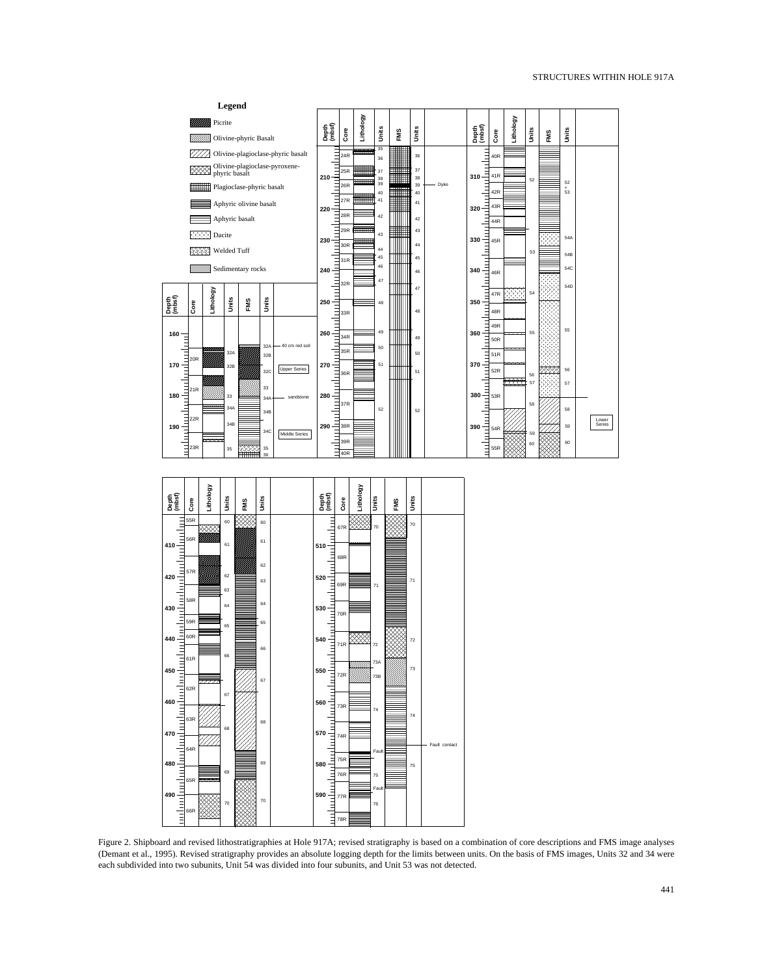

Figure 2. Shipboard and revised lithostratigraphies at Hole 917A; revised stratigraphy is based on a combination of core descriptions and FMS image analyses (Demant et al., 1995). Revised stratigraphy provides an absolute logging depth for the limits between units. On the basis of FMS images, Units 32 and 34 were each subdivided into two subunits, Unit 54 was divided into four subunits, and Unit 53 was not detected.

75

Fault

76

75R 76R

**580**

**590**

77R 78R

Ξ

75

69

70

480<br> **480**<br> **490**<br> **490**<br>
<u>**1111**<br> **1111**</u> **490**

65R

69

70

66R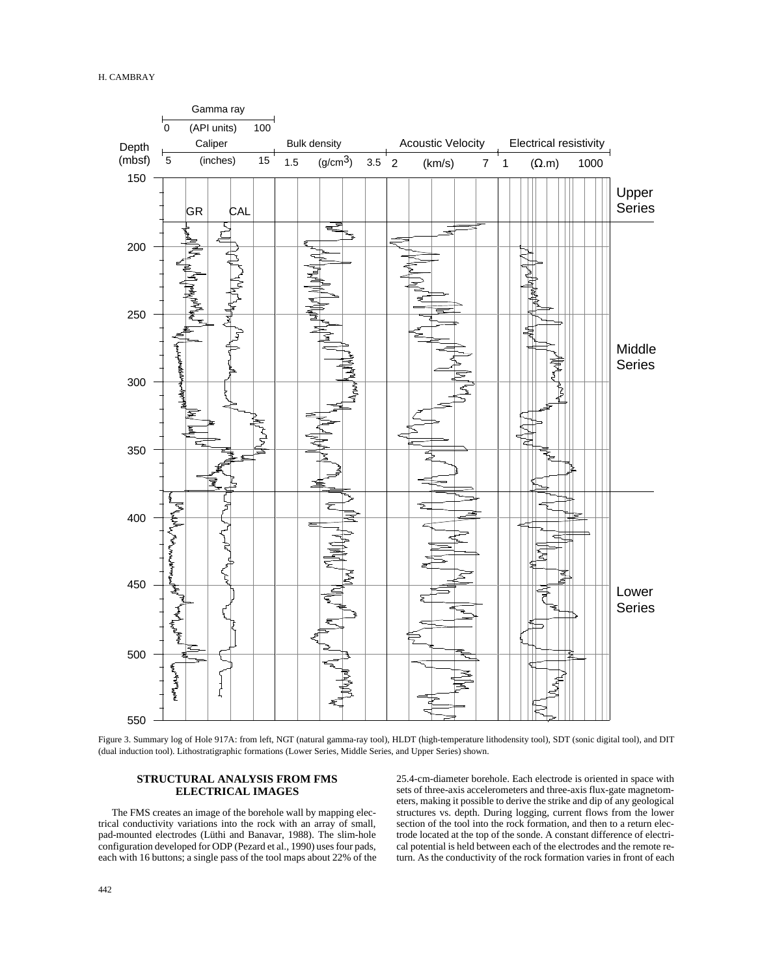

Figure 3. Summary log of Hole 917A: from left, NGT (natural gamma-ray tool), HLDT (high-temperature lithodensity tool), SDT (sonic digital tool), and DIT (dual induction tool). Lithostratigraphic formations (Lower Series, Middle Series, and Upper Series) shown.

# **STRUCTURAL ANALYSIS FROM FMS ELECTRICAL IMAGES**

The FMS creates an image of the borehole wall by mapping electrical conductivity variations into the rock with an array of small, pad-mounted electrodes (Lüthi and Banavar, 1988). The slim-hole configuration developed for ODP (Pezard et al., 1990) uses four pads, each with 16 buttons; a single pass of the tool maps about 22% of the 25.4-cm-diameter borehole. Each electrode is oriented in space with sets of three-axis accelerometers and three-axis flux-gate magnetometers, making it possible to derive the strike and dip of any geological structures vs. depth. During logging, current flows from the lower section of the tool into the rock formation, and then to a return electrode located at the top of the sonde. A constant difference of electrical potential is held between each of the electrodes and the remote return. As the conductivity of the rock formation varies in front of each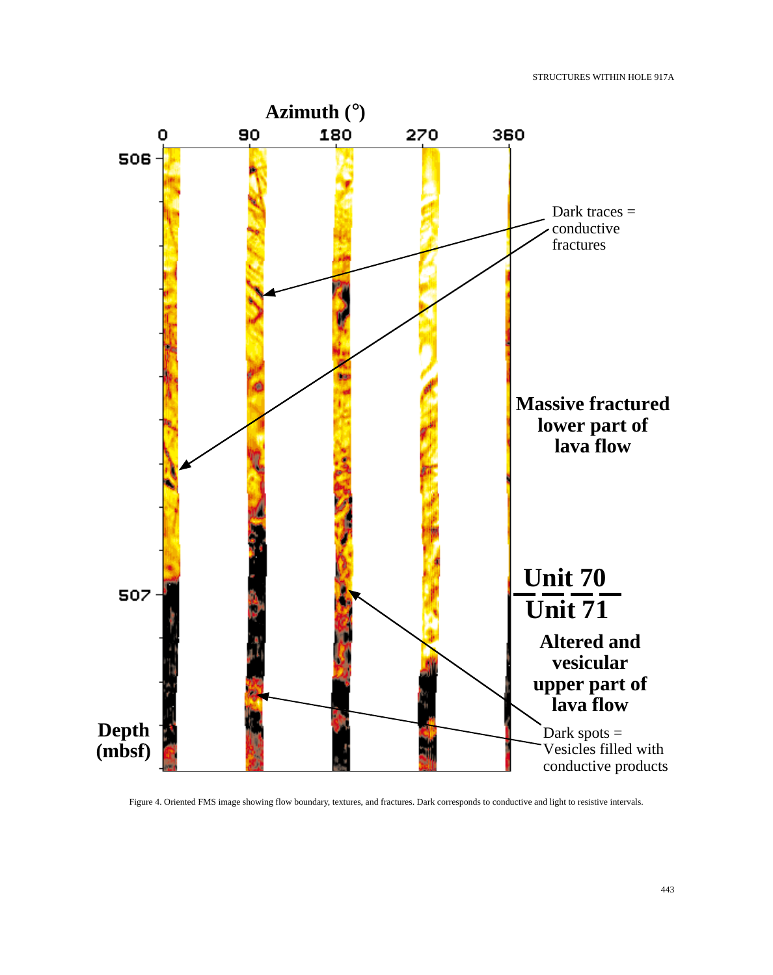

Figure 4. Oriented FMS image showing flow boundary, textures, and fractures. Dark corresponds to conductive and light to resistive intervals.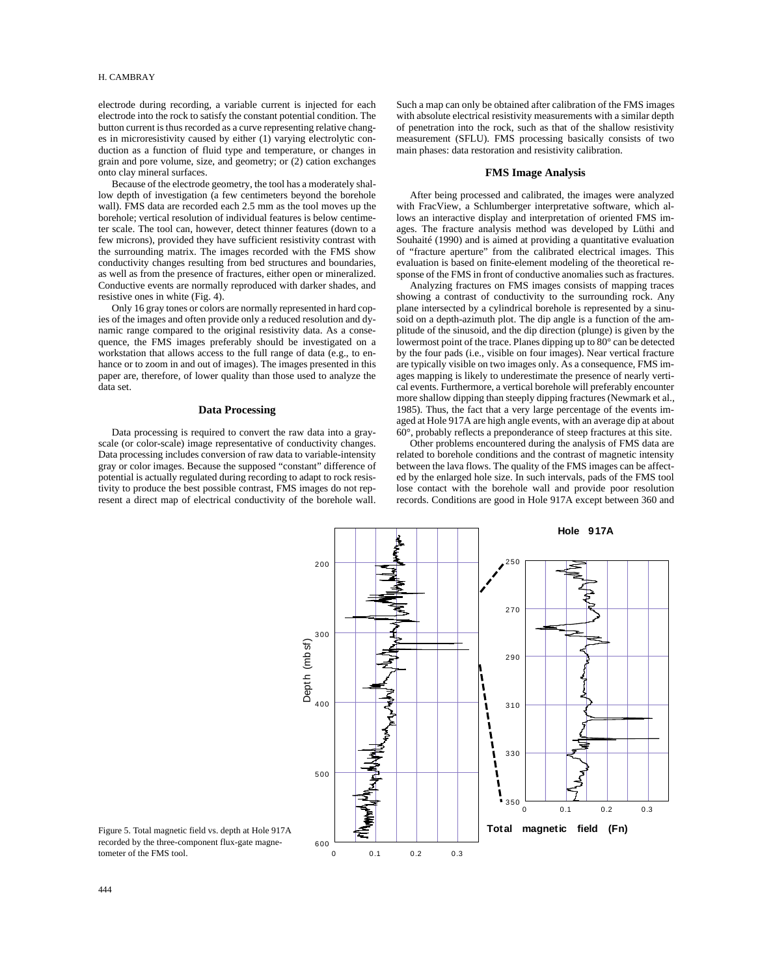electrode during recording, a variable current is injected for each electrode into the rock to satisfy the constant potential condition. The button current is thus recorded as a curve representing relative changes in microresistivity caused by either (1) varying electrolytic conduction as a function of fluid type and temperature, or changes in grain and pore volume, size, and geometry; or (2) cation exchanges onto clay mineral surfaces.

Because of the electrode geometry, the tool has a moderately shallow depth of investigation (a few centimeters beyond the borehole wall). FMS data are recorded each 2.5 mm as the tool moves up the borehole; vertical resolution of individual features is below centimeter scale. The tool can, however, detect thinner features (down to a few microns), provided they have sufficient resistivity contrast with the surrounding matrix. The images recorded with the FMS show conductivity changes resulting from bed structures and boundaries, as well as from the presence of fractures, either open or mineralized. Conductive events are normally reproduced with darker shades, and resistive ones in white (Fig. 4).

Only 16 gray tones or colors are normally represented in hard copies of the images and often provide only a reduced resolution and dynamic range compared to the original resistivity data. As a consequence, the FMS images preferably should be investigated on a workstation that allows access to the full range of data (e.g., to enhance or to zoom in and out of images). The images presented in this paper are, therefore, of lower quality than those used to analyze the data set.

#### **Data Processing**

Data processing is required to convert the raw data into a grayscale (or color-scale) image representative of conductivity changes. Data processing includes conversion of raw data to variable-intensity gray or color images. Because the supposed "constant" difference of potential is actually regulated during recording to adapt to rock resistivity to produce the best possible contrast, FMS images do not represent a direct map of electrical conductivity of the borehole wall. Such a map can only be obtained after calibration of the FMS images with absolute electrical resistivity measurements with a similar depth of penetration into the rock, such as that of the shallow resistivity measurement (SFLU). FMS processing basically consists of two main phases: data restoration and resistivity calibration.

#### **FMS Image Analysis**

After being processed and calibrated, the images were analyzed with FracView, a Schlumberger interpretative software, which allows an interactive display and interpretation of oriented FMS images. The fracture analysis method was developed by Lüthi and Souhaité (1990) and is aimed at providing a quantitative evaluation of "fracture aperture" from the calibrated electrical images. This evaluation is based on finite-element modeling of the theoretical response of the FMS in front of conductive anomalies such as fractures.

Analyzing fractures on FMS images consists of mapping traces showing a contrast of conductivity to the surrounding rock. Any plane intersected by a cylindrical borehole is represented by a sinusoid on a depth-azimuth plot. The dip angle is a function of the amplitude of the sinusoid, and the dip direction (plunge) is given by the lowermost point of the trace. Planes dipping up to 80° can be detected by the four pads (i.e., visible on four images). Near vertical fracture are typically visible on two images only. As a consequence, FMS images mapping is likely to underestimate the presence of nearly vertical events. Furthermore, a vertical borehole will preferably encounter more shallow dipping than steeply dipping fractures (Newmark et al., 1985). Thus, the fact that a very large percentage of the events imaged at Hole 917A are high angle events, with an average dip at about 60°, probably reflects a preponderance of steep fractures at this site.

Other problems encountered during the analysis of FMS data are related to borehole conditions and the contrast of magnetic intensity between the lava flows. The quality of the FMS images can be affected by the enlarged hole size. In such intervals, pads of the FMS tool lose contact with the borehole wall and provide poor resolution records. Conditions are good in Hole 917A except between 360 and



Figure 5. Total magnetic field vs. depth at Hole 917A recorded by the three-component flux-gate magnetometer of the FMS tool.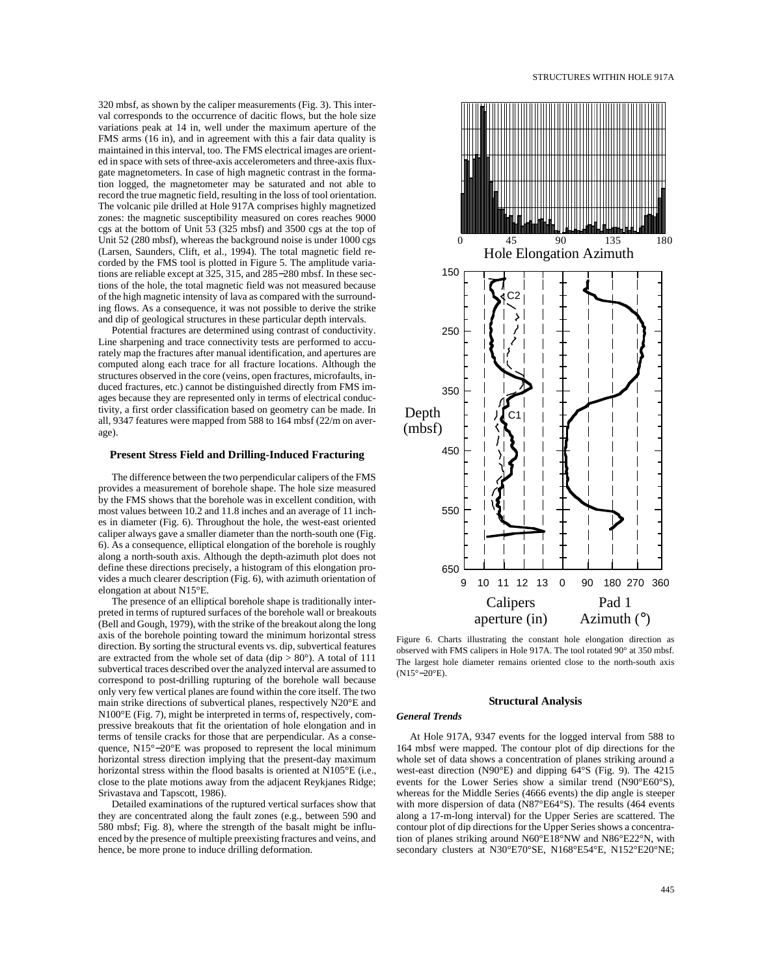320 mbsf, as shown by the caliper measurements (Fig. 3). This interval corresponds to the occurrence of dacitic flows, but the hole size variations peak at 14 in, well under the maximum aperture of the FMS arms (16 in), and in agreement with this a fair data quality is maintained in this interval, too. The FMS electrical images are oriented in space with sets of three-axis accelerometers and three-axis fluxgate magnetometers. In case of high magnetic contrast in the formation logged, the magnetometer may be saturated and not able to record the true magnetic field, resulting in the loss of tool orientation. The volcanic pile drilled at Hole 917A comprises highly magnetized zones: the magnetic susceptibility measured on cores reaches 9000 cgs at the bottom of Unit 53 (325 mbsf) and 3500 cgs at the top of Unit 52 (280 mbsf), whereas the background noise is under 1000 cgs (Larsen, Saunders, Clift, et al., 1994). The total magnetic field recorded by the FMS tool is plotted in Figure 5. The amplitude variations are reliable except at 325, 315, and 285−280 mbsf. In these sections of the hole, the total magnetic field was not measured because of the high magnetic intensity of lava as compared with the surrounding flows. As a consequence, it was not possible to derive the strike and dip of geological structures in these particular depth intervals.

Potential fractures are determined using contrast of conductivity. Line sharpening and trace connectivity tests are performed to accurately map the fractures after manual identification, and apertures are computed along each trace for all fracture locations. Although the structures observed in the core (veins, open fractures, microfaults, induced fractures, etc.) cannot be distinguished directly from FMS images because they are represented only in terms of electrical conductivity, a first order classification based on geometry can be made. In all, 9347 features were mapped from 588 to 164 mbsf (22/m on average).

#### **Present Stress Field and Drilling-Induced Fracturing**

The difference between the two perpendicular calipers of the FMS provides a measurement of borehole shape. The hole size measured by the FMS shows that the borehole was in excellent condition, with most values between 10.2 and 11.8 inches and an average of 11 inches in diameter (Fig. 6). Throughout the hole, the west-east oriented caliper always gave a smaller diameter than the north-south one (Fig. 6). As a consequence, elliptical elongation of the borehole is roughly along a north-south axis. Although the depth-azimuth plot does not define these directions precisely, a histogram of this elongation provides a much clearer description (Fig. 6), with azimuth orientation of elongation at about N15°E.

The presence of an elliptical borehole shape is traditionally interpreted in terms of ruptured surfaces of the borehole wall or breakouts (Bell and Gough, 1979), with the strike of the breakout along the long axis of the borehole pointing toward the minimum horizontal stress direction. By sorting the structural events vs. dip, subvertical features are extracted from the whole set of data (dip  $> 80^{\circ}$ ). A total of 111 subvertical traces described over the analyzed interval are assumed to correspond to post-drilling rupturing of the borehole wall because only very few vertical planes are found within the core itself. The two main strike directions of subvertical planes, respectively N20°E and N100°E (Fig. 7), might be interpreted in terms of, respectively, compressive breakouts that fit the orientation of hole elongation and in terms of tensile cracks for those that are perpendicular. As a consequence, N15°–20°E was proposed to represent the local minimum horizontal stress direction implying that the present-day maximum horizontal stress within the flood basalts is oriented at N105°E (i.e., close to the plate motions away from the adjacent Reykjanes Ridge; Srivastava and Tapscott, 1986).

Detailed examinations of the ruptured vertical surfaces show that they are concentrated along the fault zones (e.g., between 590 and 580 mbsf; Fig. 8), where the strength of the basalt might be influenced by the presence of multiple preexisting fractures and veins, and hence, be more prone to induce drilling deformation.



Figure 6. Charts illustrating the constant hole elongation direction as observed with FMS calipers in Hole 917A. The tool rotated 90° at 350 mbsf. The largest hole diameter remains oriented close to the north-south axis (N15°−20°E).

#### **Structural Analysis**

#### *General Trends*

At Hole 917A, 9347 events for the logged interval from 588 to 164 mbsf were mapped. The contour plot of dip directions for the whole set of data shows a concentration of planes striking around a west-east direction (N90°E) and dipping 64°S (Fig. 9). The 4215 events for the Lower Series show a similar trend (N90°E60°S), whereas for the Middle Series (4666 events) the dip angle is steeper with more dispersion of data (N87°E64°S). The results (464 events along a 17-m-long interval) for the Upper Series are scattered. The contour plot of dip directions for the Upper Series shows a concentration of planes striking around N60°E18°NW and N86°E22°N, with secondary clusters at N30°E70°SE, N168°E54°E, N152°E20°NE;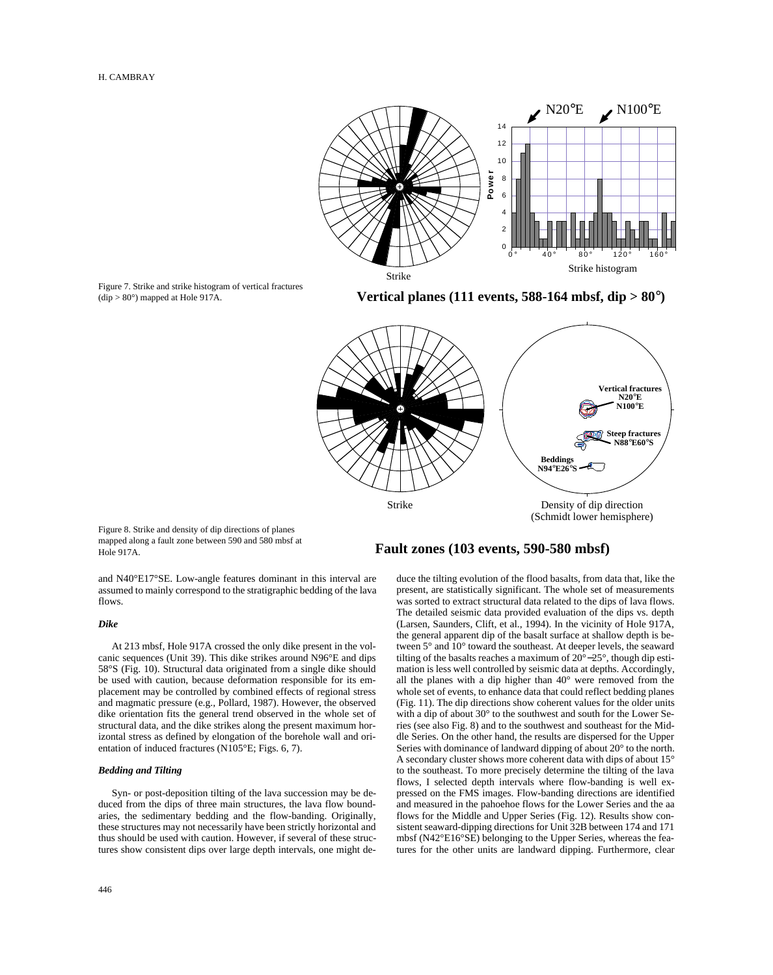

Figure 7. Strike and strike histogram of vertical fractures  $(dip > 80^\circ)$  mapped at Hole 917A.

**Vertical planes (111 events, 588-164 mbsf, dip > 80**°**)**



Figure 8. Strike and density of dip directions of planes mapped along a fault zone between 590 and 580 mbsf at Hole 917A.

and N40°E17°SE. Low-angle features dominant in this interval are

# flows. *Dike*

At 213 mbsf, Hole 917A crossed the only dike present in the volcanic sequences (Unit 39). This dike strikes around N96°E and dips 58°S (Fig. 10). Structural data originated from a single dike should be used with caution, because deformation responsible for its emplacement may be controlled by combined effects of regional stress and magmatic pressure (e.g., Pollard, 1987). However, the observed dike orientation fits the general trend observed in the whole set of structural data, and the dike strikes along the present maximum horizontal stress as defined by elongation of the borehole wall and orientation of induced fractures (N105°E; Figs. 6, 7).

assumed to mainly correspond to the stratigraphic bedding of the lava

#### *Bedding and Tilting*

Syn- or post-deposition tilting of the lava succession may be deduced from the dips of three main structures, the lava flow boundaries, the sedimentary bedding and the flow-banding. Originally, these structures may not necessarily have been strictly horizontal and thus should be used with caution. However, if several of these structures show consistent dips over large depth intervals, one might de-

# **Fault zones (103 events, 590-580 mbsf)**

duce the tilting evolution of the flood basalts, from data that, like the present, are statistically significant. The whole set of measurements was sorted to extract structural data related to the dips of lava flows. The detailed seismic data provided evaluation of the dips vs. depth (Larsen, Saunders, Clift, et al., 1994). In the vicinity of Hole 917A, the general apparent dip of the basalt surface at shallow depth is between 5° and 10° toward the southeast. At deeper levels, the seaward tilting of the basalts reaches a maximum of 20°−25°, though dip estimation is less well controlled by seismic data at depths. Accordingly, all the planes with a dip higher than 40° were removed from the whole set of events, to enhance data that could reflect bedding planes (Fig. 11). The dip directions show coherent values for the older units with a dip of about 30° to the southwest and south for the Lower Series (see also Fig. 8) and to the southwest and southeast for the Middle Series. On the other hand, the results are dispersed for the Upper Series with dominance of landward dipping of about 20° to the north. A secondary cluster shows more coherent data with dips of about 15° to the southeast. To more precisely determine the tilting of the lava flows, I selected depth intervals where flow-banding is well expressed on the FMS images. Flow-banding directions are identified and measured in the pahoehoe flows for the Lower Series and the aa flows for the Middle and Upper Series (Fig. 12). Results show consistent seaward-dipping directions for Unit 32B between 174 and 171 mbsf (N42°E16°SE) belonging to the Upper Series, whereas the features for the other units are landward dipping. Furthermore, clear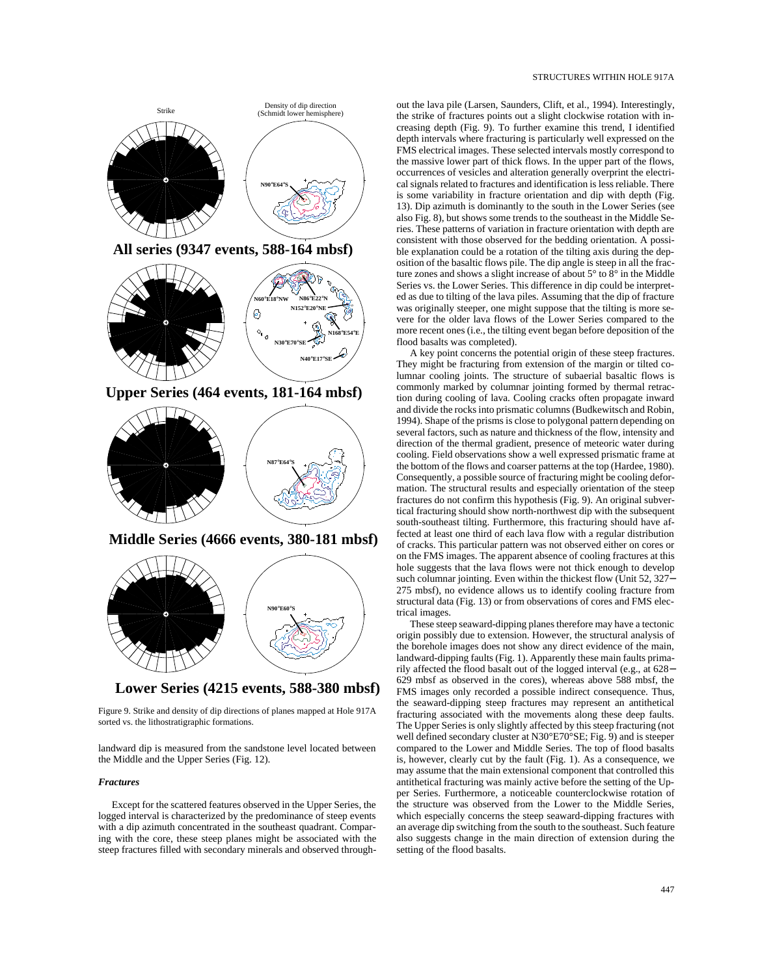

**Lower Series (4215 events, 588-380 mbsf)**

Figure 9. Strike and density of dip directions of planes mapped at Hole 917A sorted vs. the lithostratigraphic formations.

landward dip is measured from the sandstone level located between the Middle and the Upper Series (Fig. 12).

#### *Fractures*

Except for the scattered features observed in the Upper Series, the logged interval is characterized by the predominance of steep events with a dip azimuth concentrated in the southeast quadrant. Comparing with the core, these steep planes might be associated with the steep fractures filled with secondary minerals and observed throughout the lava pile (Larsen, Saunders, Clift, et al., 1994). Interestingly, the strike of fractures points out a slight clockwise rotation with increasing depth (Fig. 9). To further examine this trend, I identified depth intervals where fracturing is particularly well expressed on the FMS electrical images. These selected intervals mostly correspond to the massive lower part of thick flows. In the upper part of the flows, occurrences of vesicles and alteration generally overprint the electrical signals related to fractures and identification is less reliable. There is some variability in fracture orientation and dip with depth (Fig. 13). Dip azimuth is dominantly to the south in the Lower Series (see also Fig. 8), but shows some trends to the southeast in the Middle Series. These patterns of variation in fracture orientation with depth are consistent with those observed for the bedding orientation. A possible explanation could be a rotation of the tilting axis during the deposition of the basaltic flows pile. The dip angle is steep in all the fracture zones and shows a slight increase of about 5° to 8° in the Middle Series vs. the Lower Series. This difference in dip could be interpreted as due to tilting of the lava piles. Assuming that the dip of fracture was originally steeper, one might suppose that the tilting is more severe for the older lava flows of the Lower Series compared to the more recent ones (i.e., the tilting event began before deposition of the flood basalts was completed).

A key point concerns the potential origin of these steep fractures. They might be fracturing from extension of the margin or tilted columnar cooling joints. The structure of subaerial basaltic flows is commonly marked by columnar jointing formed by thermal retraction during cooling of lava. Cooling cracks often propagate inward and divide the rocks into prismatic columns (Budkewitsch and Robin, 1994). Shape of the prisms is close to polygonal pattern depending on several factors, such as nature and thickness of the flow, intensity and direction of the thermal gradient, presence of meteoric water during cooling. Field observations show a well expressed prismatic frame at the bottom of the flows and coarser patterns at the top (Hardee, 1980). Consequently, a possible source of fracturing might be cooling deformation. The structural results and especially orientation of the steep fractures do not confirm this hypothesis (Fig. 9). An original subvertical fracturing should show north-northwest dip with the subsequent south-southeast tilting. Furthermore, this fracturing should have affected at least one third of each lava flow with a regular distribution of cracks. This particular pattern was not observed either on cores or on the FMS images. The apparent absence of cooling fractures at this hole suggests that the lava flows were not thick enough to develop such columnar jointing. Even within the thickest flow (Unit 52, 327− 275 mbsf), no evidence allows us to identify cooling fracture from structural data (Fig. 13) or from observations of cores and FMS electrical images.

These steep seaward-dipping planes therefore may have a tectonic origin possibly due to extension. However, the structural analysis of the borehole images does not show any direct evidence of the main, landward-dipping faults (Fig. 1). Apparently these main faults primarily affected the flood basalt out of the logged interval (e.g., at 628− 629 mbsf as observed in the cores), whereas above 588 mbsf, the FMS images only recorded a possible indirect consequence. Thus, the seaward-dipping steep fractures may represent an antithetical fracturing associated with the movements along these deep faults. The Upper Series is only slightly affected by this steep fracturing (not well defined secondary cluster at N30°E70°SE; Fig. 9) and is steeper compared to the Lower and Middle Series. The top of flood basalts is, however, clearly cut by the fault (Fig. 1). As a consequence, we may assume that the main extensional component that controlled this antithetical fracturing was mainly active before the setting of the Upper Series. Furthermore, a noticeable counterclockwise rotation of the structure was observed from the Lower to the Middle Series, which especially concerns the steep seaward-dipping fractures with an average dip switching from the south to the southeast. Such feature also suggests change in the main direction of extension during the setting of the flood basalts.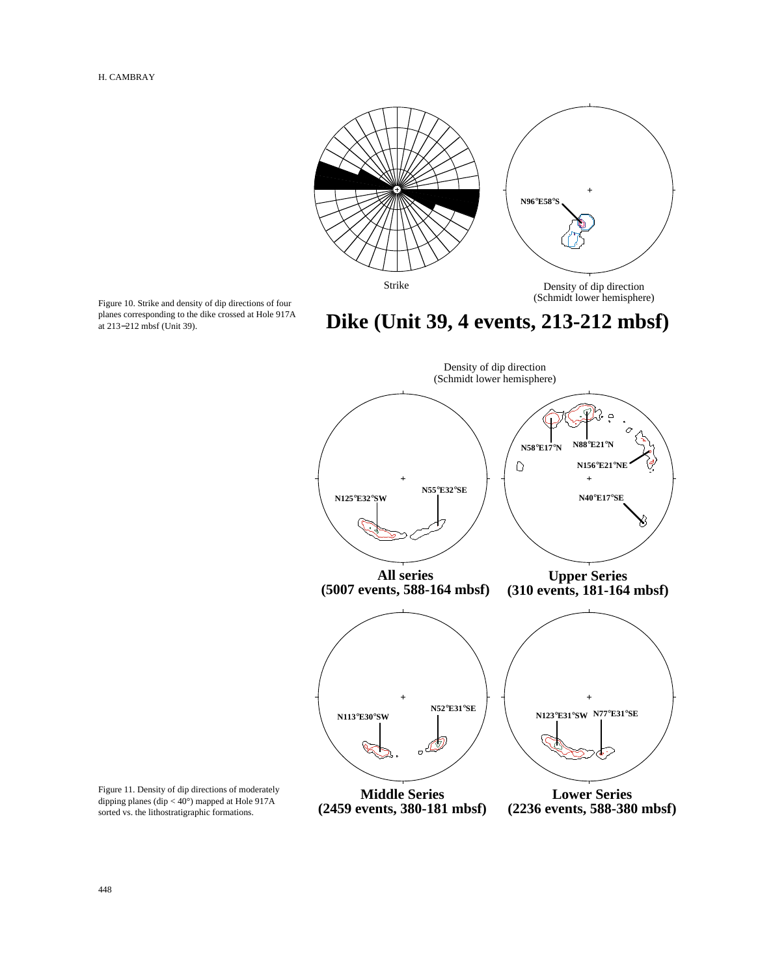

Figure 10. Strike and density of dip directions of four planes corresponding to the dike crossed at Hole 917A at 213−212 mbsf (Unit 39).

# **Dike (Unit 39, 4 events, 213-212 mbsf)**



Figure 11. Density of dip directions of moderately dipping planes (dip < 40°) mapped at Hole 917A sorted vs. the lithostratigraphic formations.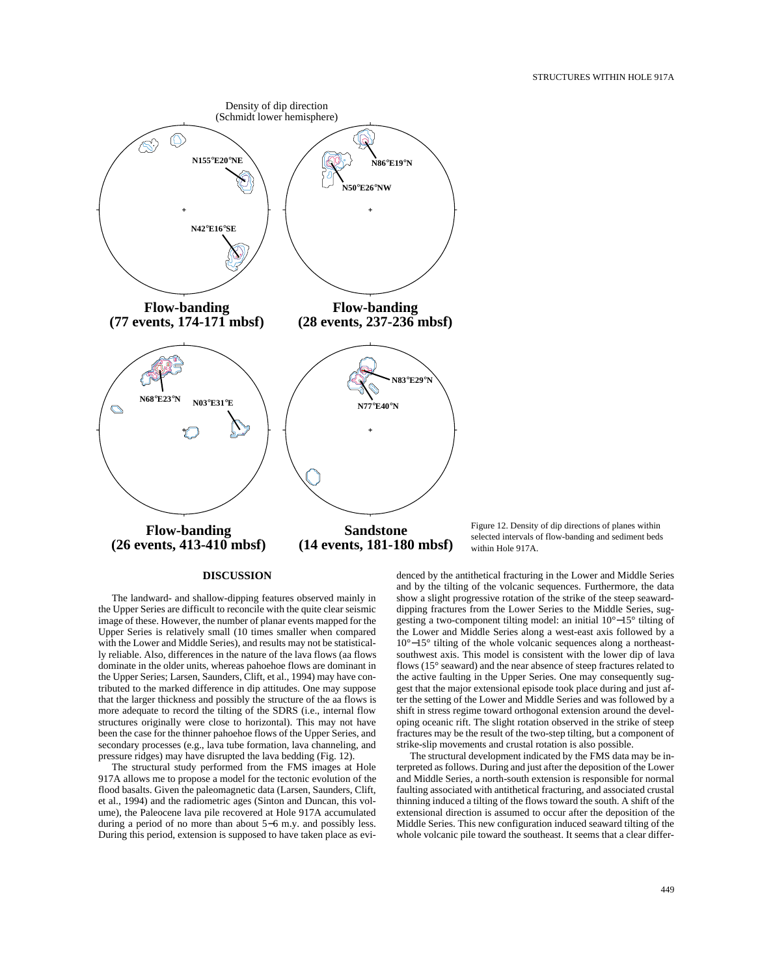

#### **DISCUSSION**

The landward- and shallow-dipping features observed mainly in the Upper Series are difficult to reconcile with the quite clear seismic image of these. However, the number of planar events mapped for the Upper Series is relatively small (10 times smaller when compared with the Lower and Middle Series), and results may not be statistically reliable. Also, differences in the nature of the lava flows (aa flows dominate in the older units, whereas pahoehoe flows are dominant in the Upper Series; Larsen, Saunders, Clift, et al., 1994) may have contributed to the marked difference in dip attitudes. One may suppose that the larger thickness and possibly the structure of the aa flows is more adequate to record the tilting of the SDRS (i.e., internal flow structures originally were close to horizontal). This may not have been the case for the thinner pahoehoe flows of the Upper Series, and secondary processes (e.g., lava tube formation, lava channeling, and pressure ridges) may have disrupted the lava bedding (Fig. 12).

The structural study performed from the FMS images at Hole 917A allows me to propose a model for the tectonic evolution of the flood basalts. Given the paleomagnetic data (Larsen, Saunders, Clift, et al., 1994) and the radiometric ages (Sinton and Duncan, this volume), the Paleocene lava pile recovered at Hole 917A accumulated during a period of no more than about 5−6 m.y. and possibly less. During this period, extension is supposed to have taken place as eviFigure 12. Density of dip directions of planes within selected intervals of flow-banding and sediment beds within Hole 917A.

denced by the antithetical fracturing in the Lower and Middle Series and by the tilting of the volcanic sequences. Furthermore, the data show a slight progressive rotation of the strike of the steep seawarddipping fractures from the Lower Series to the Middle Series, suggesting a two-component tilting model: an initial 10°−15° tilting of the Lower and Middle Series along a west-east axis followed by a 10°−15° tilting of the whole volcanic sequences along a northeastsouthwest axis. This model is consistent with the lower dip of lava flows (15° seaward) and the near absence of steep fractures related to the active faulting in the Upper Series. One may consequently suggest that the major extensional episode took place during and just after the setting of the Lower and Middle Series and was followed by a shift in stress regime toward orthogonal extension around the developing oceanic rift. The slight rotation observed in the strike of steep fractures may be the result of the two-step tilting, but a component of strike-slip movements and crustal rotation is also possible.

The structural development indicated by the FMS data may be interpreted as follows. During and just after the deposition of the Lower and Middle Series, a north-south extension is responsible for normal faulting associated with antithetical fracturing, and associated crustal thinning induced a tilting of the flows toward the south. A shift of the extensional direction is assumed to occur after the deposition of the Middle Series. This new configuration induced seaward tilting of the whole volcanic pile toward the southeast. It seems that a clear differ-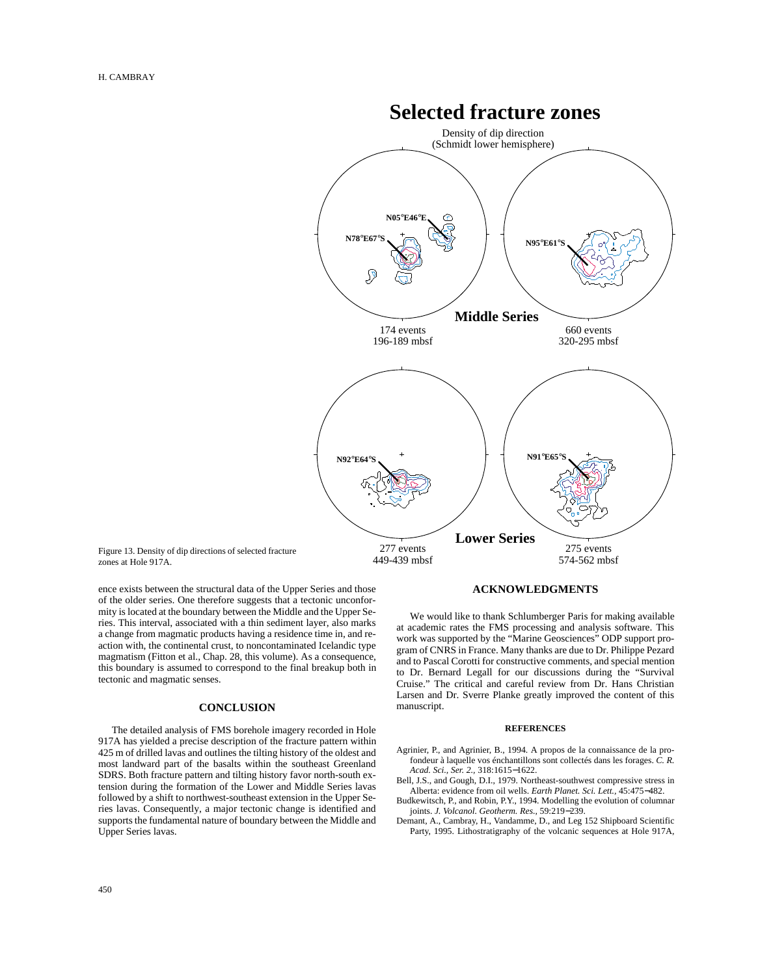

Figure 13. Density of dip directions of selected fracture zones at Hole 917A.

ence exists between the structural data of the Upper Series and those of the older series. One therefore suggests that a tectonic unconformity is located at the boundary between the Middle and the Upper Series. This interval, associated with a thin sediment layer, also marks a change from magmatic products having a residence time in, and reaction with, the continental crust, to noncontaminated Icelandic type magmatism (Fitton et al., Chap. 28, this volume). As a consequence, this boundary is assumed to correspond to the final breakup both in tectonic and magmatic senses.

### **CONCLUSION**

The detailed analysis of FMS borehole imagery recorded in Hole 917A has yielded a precise description of the fracture pattern within 425 m of drilled lavas and outlines the tilting history of the oldest and most landward part of the basalts within the southeast Greenland SDRS. Both fracture pattern and tilting history favor north-south extension during the formation of the Lower and Middle Series lavas followed by a shift to northwest-southeast extension in the Upper Series lavas. Consequently, a major tectonic change is identified and supports the fundamental nature of boundary between the Middle and Upper Series lavas.

# **ACKNOWLEDGMENTS**

We would like to thank Schlumberger Paris for making available at academic rates the FMS processing and analysis software. This work was supported by the "Marine Geosciences" ODP support program of CNRS in France. Many thanks are due to Dr. Philippe Pezard and to Pascal Corotti for constructive comments, and special mention to Dr. Bernard Legall for our discussions during the "Survival Cruise." The critical and careful review from Dr. Hans Christian Larsen and Dr. Sverre Planke greatly improved the content of this manuscript.

#### **REFERENCES**

- Agrinier, P., and Agrinier, B., 1994. A propos de la connaissance de la profondeur à laquelle vos énchantillons sont collectés dans les forages. *C. R. Acad. Sci., Ser. 2.,* 318:1615−1622.
- Bell, J.S., and Gough, D.I., 1979. Northeast-southwest compressive stress in Alberta: evidence from oil wells. *Earth Planet. Sci. Lett.,* 45:475−482.
- Budkewitsch, P., and Robin, P.Y., 1994. Modelling the evolution of columnar joints. *J. Volcanol. Geotherm. Res.,* 59:219−239.
- Demant, A., Cambray, H., Vandamme, D., and Leg 152 Shipboard Scientific Party, 1995. Lithostratigraphy of the volcanic sequences at Hole 917A,